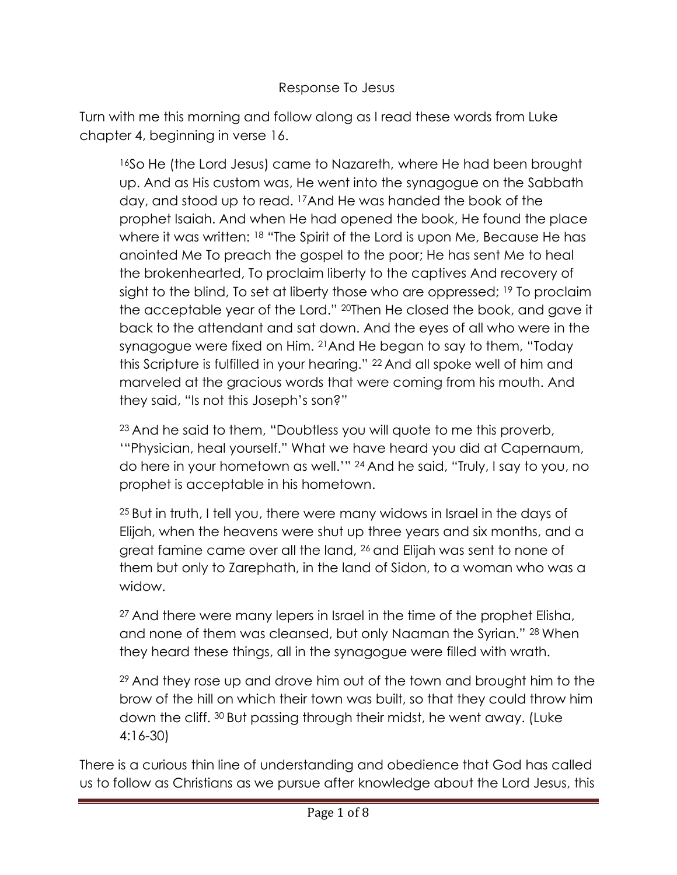## Response To Jesus

Turn with me this morning and follow along as I read these words from Luke chapter 4, beginning in verse 16.

<sup>16</sup>So He (the Lord Jesus) came to Nazareth, where He had been brought up. And as His custom was, He went into the synagogue on the Sabbath day, and stood up to read. <sup>17</sup>And He was handed the book of the prophet Isaiah. And when He had opened the book, He found the place where it was written: <sup>18</sup> "The Spirit of the Lord is upon Me, Because He has anointed Me To preach the gospel to the poor; He has sent Me to heal the brokenhearted, To proclaim liberty to the captives And recovery of sight to the blind, To set at liberty those who are oppressed; <sup>19</sup> To proclaim the acceptable year of the Lord." 20Then He closed the book, and gave it back to the attendant and sat down. And the eyes of all who were in the synagogue were fixed on Him. <sup>21</sup>And He began to say to them, "Today this Scripture is fulfilled in your hearing." <sup>22</sup> And all spoke well of him and marveled at the gracious words that were coming from his mouth. And they said, "Is not this Joseph's son?"

<sup>23</sup> And he said to them, "Doubtless you will quote to me this proverb, '"Physician, heal yourself." What we have heard you did at Capernaum, do here in your hometown as well.'" <sup>24</sup> And he said, "Truly, I say to you, no prophet is acceptable in his hometown.

<sup>25</sup> But in truth, I tell you, there were many widows in Israel in the days of Elijah, when the heavens were shut up three years and six months, and a great famine came over all the land, <sup>26</sup> and Elijah was sent to none of them but only to Zarephath, in the land of Sidon, to a woman who was a widow.

<sup>27</sup> And there were many lepers in Israel in the time of the prophet Elisha, and none of them was cleansed, but only Naaman the Syrian." <sup>28</sup> When they heard these things, all in the synagogue were filled with wrath.

<sup>29</sup> And they rose up and drove him out of the town and brought him to the brow of the hill on which their town was built, so that they could throw him down the cliff. <sup>30</sup> But passing through their midst, he went away. (Luke 4:16-30)

There is a curious thin line of understanding and obedience that God has called us to follow as Christians as we pursue after knowledge about the Lord Jesus, this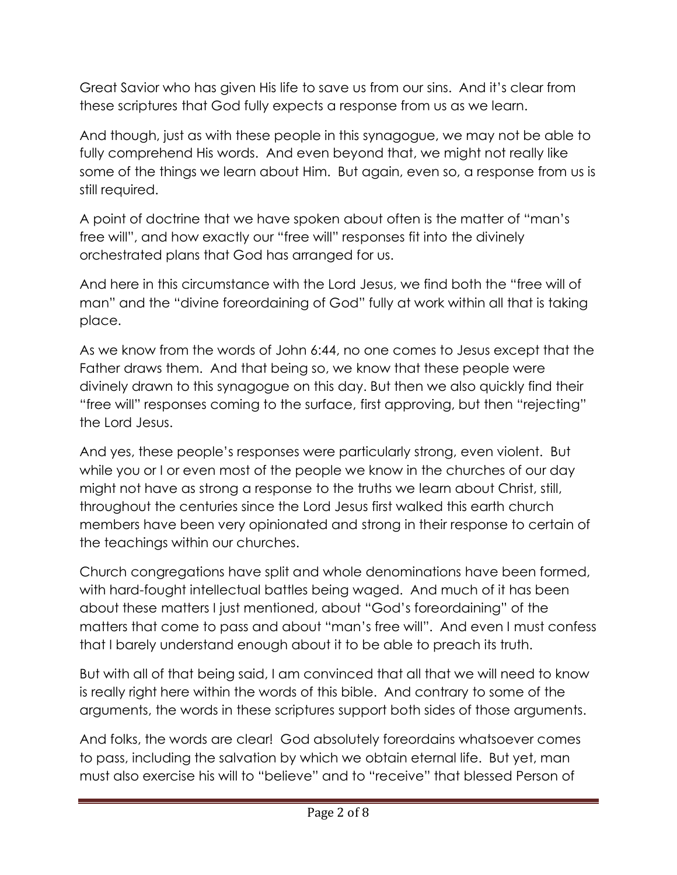Great Savior who has given His life to save us from our sins. And it's clear from these scriptures that God fully expects a response from us as we learn.

And though, just as with these people in this synagogue, we may not be able to fully comprehend His words. And even beyond that, we might not really like some of the things we learn about Him. But again, even so, a response from us is still required.

A point of doctrine that we have spoken about often is the matter of "man's free will", and how exactly our "free will" responses fit into the divinely orchestrated plans that God has arranged for us.

And here in this circumstance with the Lord Jesus, we find both the "free will of man" and the "divine foreordaining of God" fully at work within all that is taking place.

As we know from the words of John 6:44, no one comes to Jesus except that the Father draws them. And that being so, we know that these people were divinely drawn to this synagogue on this day. But then we also quickly find their "free will" responses coming to the surface, first approving, but then "rejecting" the Lord Jesus.

And yes, these people's responses were particularly strong, even violent. But while you or I or even most of the people we know in the churches of our day might not have as strong a response to the truths we learn about Christ, still, throughout the centuries since the Lord Jesus first walked this earth church members have been very opinionated and strong in their response to certain of the teachings within our churches.

Church congregations have split and whole denominations have been formed, with hard-fought intellectual battles being waged. And much of it has been about these matters I just mentioned, about "God's foreordaining" of the matters that come to pass and about "man's free will". And even I must confess that I barely understand enough about it to be able to preach its truth.

But with all of that being said, I am convinced that all that we will need to know is really right here within the words of this bible. And contrary to some of the arguments, the words in these scriptures support both sides of those arguments.

And folks, the words are clear! God absolutely foreordains whatsoever comes to pass, including the salvation by which we obtain eternal life. But yet, man must also exercise his will to "believe" and to "receive" that blessed Person of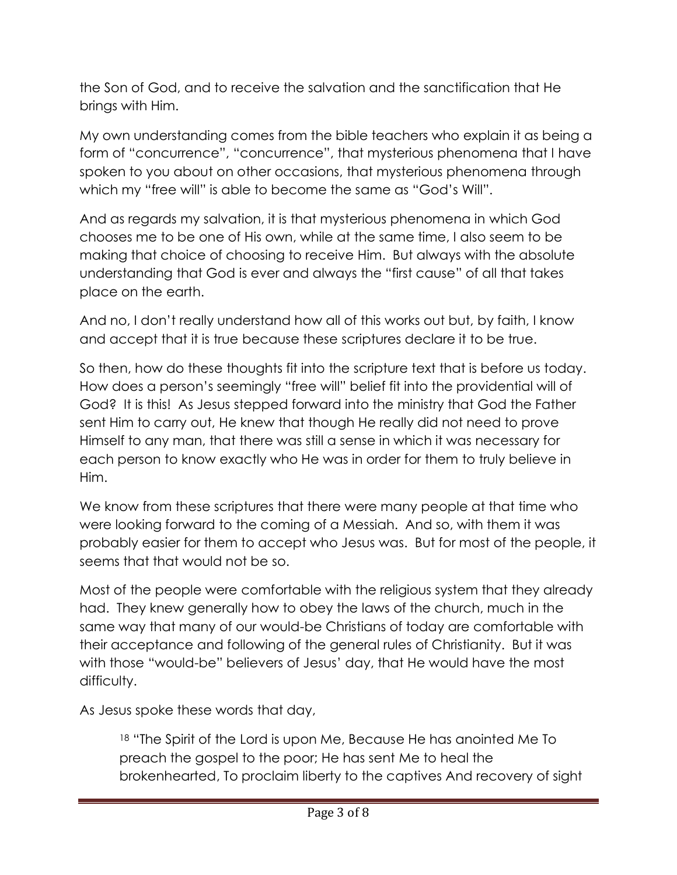the Son of God, and to receive the salvation and the sanctification that He brings with Him.

My own understanding comes from the bible teachers who explain it as being a form of "concurrence", "concurrence", that mysterious phenomena that I have spoken to you about on other occasions, that mysterious phenomena through which my "free will" is able to become the same as "God's Will".

And as regards my salvation, it is that mysterious phenomena in which God chooses me to be one of His own, while at the same time, I also seem to be making that choice of choosing to receive Him. But always with the absolute understanding that God is ever and always the "first cause" of all that takes place on the earth.

And no, I don't really understand how all of this works out but, by faith, I know and accept that it is true because these scriptures declare it to be true.

So then, how do these thoughts fit into the scripture text that is before us today. How does a person's seemingly "free will" belief fit into the providential will of God? It is this! As Jesus stepped forward into the ministry that God the Father sent Him to carry out, He knew that though He really did not need to prove Himself to any man, that there was still a sense in which it was necessary for each person to know exactly who He was in order for them to truly believe in Him.

We know from these scriptures that there were many people at that time who were looking forward to the coming of a Messiah. And so, with them it was probably easier for them to accept who Jesus was. But for most of the people, it seems that that would not be so.

Most of the people were comfortable with the religious system that they already had. They knew generally how to obey the laws of the church, much in the same way that many of our would-be Christians of today are comfortable with their acceptance and following of the general rules of Christianity. But it was with those "would-be" believers of Jesus' day, that He would have the most difficulty.

As Jesus spoke these words that day,

<sup>18</sup> "The Spirit of the Lord is upon Me, Because He has anointed Me To preach the gospel to the poor; He has sent Me to heal the brokenhearted, To proclaim liberty to the captives And recovery of sight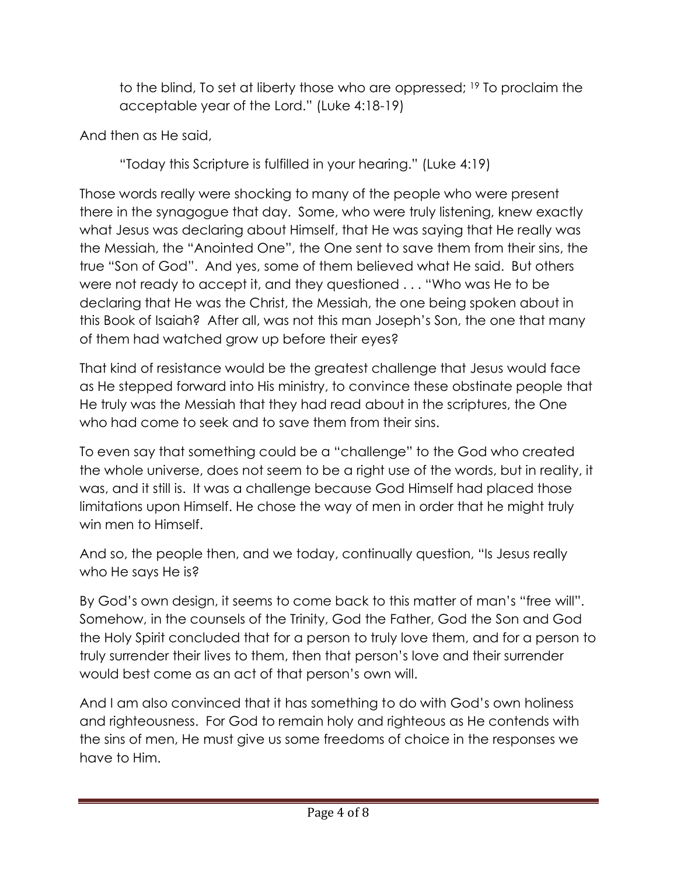to the blind, To set at liberty those who are oppressed; <sup>19</sup> To proclaim the acceptable year of the Lord." (Luke 4:18-19)

And then as He said,

"Today this Scripture is fulfilled in your hearing." (Luke 4:19)

Those words really were shocking to many of the people who were present there in the synagogue that day. Some, who were truly listening, knew exactly what Jesus was declaring about Himself, that He was saying that He really was the Messiah, the "Anointed One", the One sent to save them from their sins, the true "Son of God". And yes, some of them believed what He said. But others were not ready to accept it, and they questioned . . . "Who was He to be declaring that He was the Christ, the Messiah, the one being spoken about in this Book of Isaiah? After all, was not this man Joseph's Son, the one that many of them had watched grow up before their eyes?

That kind of resistance would be the greatest challenge that Jesus would face as He stepped forward into His ministry, to convince these obstinate people that He truly was the Messiah that they had read about in the scriptures, the One who had come to seek and to save them from their sins.

To even say that something could be a "challenge" to the God who created the whole universe, does not seem to be a right use of the words, but in reality, it was, and it still is. It was a challenge because God Himself had placed those limitations upon Himself. He chose the way of men in order that he might truly win men to Himself.

And so, the people then, and we today, continually question, "Is Jesus really who He says He is?

By God's own design, it seems to come back to this matter of man's "free will". Somehow, in the counsels of the Trinity, God the Father, God the Son and God the Holy Spirit concluded that for a person to truly love them, and for a person to truly surrender their lives to them, then that person's love and their surrender would best come as an act of that person's own will.

And I am also convinced that it has something to do with God's own holiness and righteousness. For God to remain holy and righteous as He contends with the sins of men, He must give us some freedoms of choice in the responses we have to Him.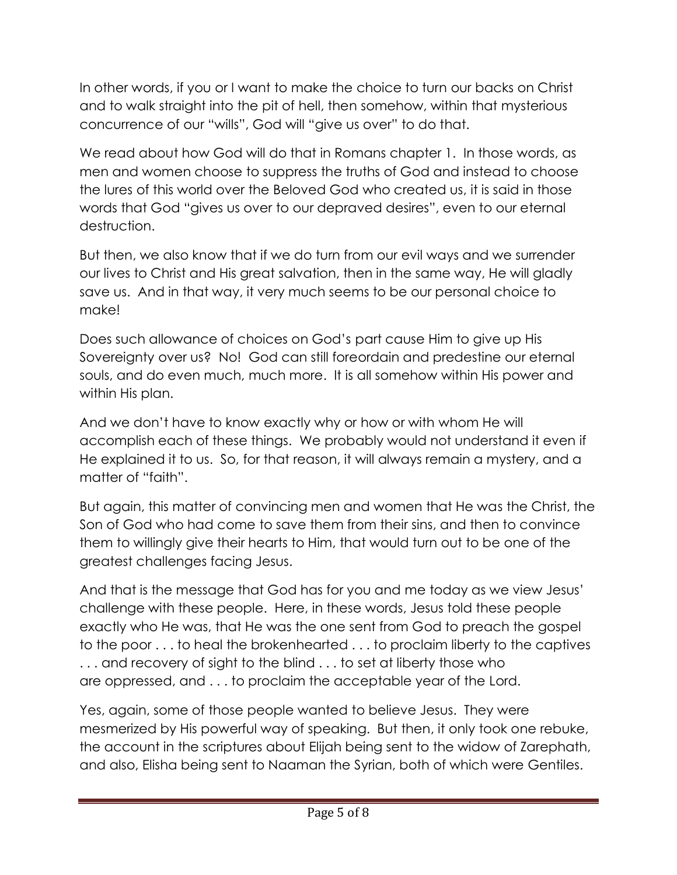In other words, if you or I want to make the choice to turn our backs on Christ and to walk straight into the pit of hell, then somehow, within that mysterious concurrence of our "wills", God will "give us over" to do that.

We read about how God will do that in Romans chapter 1. In those words, as men and women choose to suppress the truths of God and instead to choose the lures of this world over the Beloved God who created us, it is said in those words that God "gives us over to our depraved desires", even to our eternal destruction.

But then, we also know that if we do turn from our evil ways and we surrender our lives to Christ and His great salvation, then in the same way, He will gladly save us. And in that way, it very much seems to be our personal choice to make!

Does such allowance of choices on God's part cause Him to give up His Sovereignty over us? No! God can still foreordain and predestine our eternal souls, and do even much, much more. It is all somehow within His power and within His plan.

And we don't have to know exactly why or how or with whom He will accomplish each of these things. We probably would not understand it even if He explained it to us. So, for that reason, it will always remain a mystery, and a matter of "faith".

But again, this matter of convincing men and women that He was the Christ, the Son of God who had come to save them from their sins, and then to convince them to willingly give their hearts to Him, that would turn out to be one of the greatest challenges facing Jesus.

And that is the message that God has for you and me today as we view Jesus' challenge with these people. Here, in these words, Jesus told these people exactly who He was, that He was the one sent from God to preach the gospel to the poor . . . to heal the brokenhearted . . . to proclaim liberty to the captives . . . and recovery of sight to the blind . . . to set at liberty those who are oppressed, and . . . to proclaim the acceptable year of the Lord.

Yes, again, some of those people wanted to believe Jesus. They were mesmerized by His powerful way of speaking. But then, it only took one rebuke, the account in the scriptures about Elijah being sent to the widow of Zarephath, and also, Elisha being sent to Naaman the Syrian, both of which were Gentiles.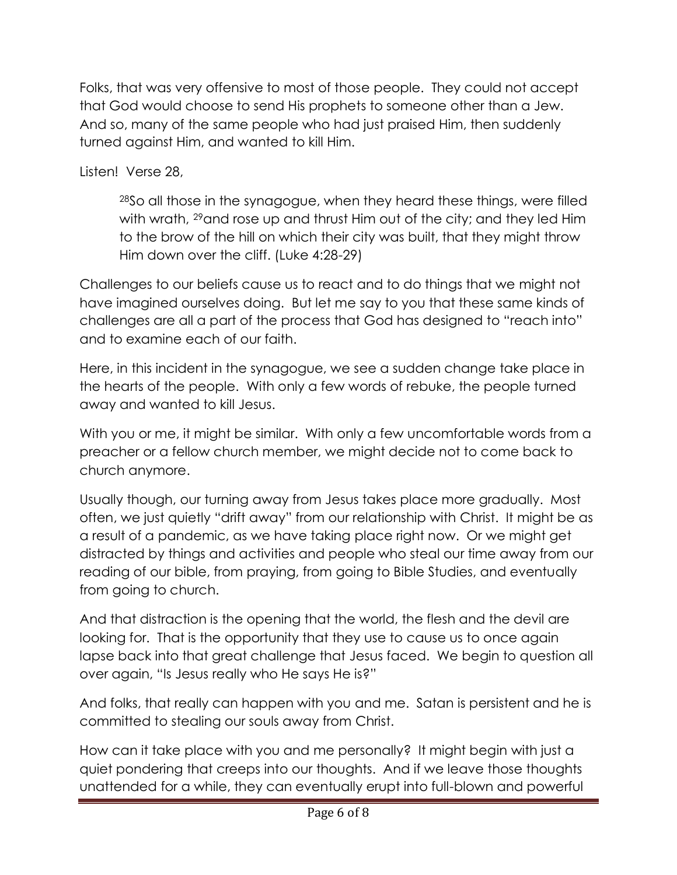Folks, that was very offensive to most of those people. They could not accept that God would choose to send His prophets to someone other than a Jew. And so, many of the same people who had just praised Him, then suddenly turned against Him, and wanted to kill Him.

Listen! Verse 28,

<sup>28</sup>So all those in the synagogue, when they heard these things, were filled with wrath, <sup>29</sup> and rose up and thrust Him out of the city; and they led Him to the brow of the hill on which their city was built, that they might throw Him down over the cliff. (Luke 4:28-29)

Challenges to our beliefs cause us to react and to do things that we might not have imagined ourselves doing. But let me say to you that these same kinds of challenges are all a part of the process that God has designed to "reach into" and to examine each of our faith.

Here, in this incident in the synagogue, we see a sudden change take place in the hearts of the people. With only a few words of rebuke, the people turned away and wanted to kill Jesus.

With you or me, it might be similar. With only a few uncomfortable words from a preacher or a fellow church member, we might decide not to come back to church anymore.

Usually though, our turning away from Jesus takes place more gradually. Most often, we just quietly "drift away" from our relationship with Christ. It might be as a result of a pandemic, as we have taking place right now. Or we might get distracted by things and activities and people who steal our time away from our reading of our bible, from praying, from going to Bible Studies, and eventually from going to church.

And that distraction is the opening that the world, the flesh and the devil are looking for. That is the opportunity that they use to cause us to once again lapse back into that great challenge that Jesus faced. We begin to question all over again, "Is Jesus really who He says He is?"

And folks, that really can happen with you and me. Satan is persistent and he is committed to stealing our souls away from Christ.

How can it take place with you and me personally? It might begin with just a quiet pondering that creeps into our thoughts. And if we leave those thoughts unattended for a while, they can eventually erupt into full-blown and powerful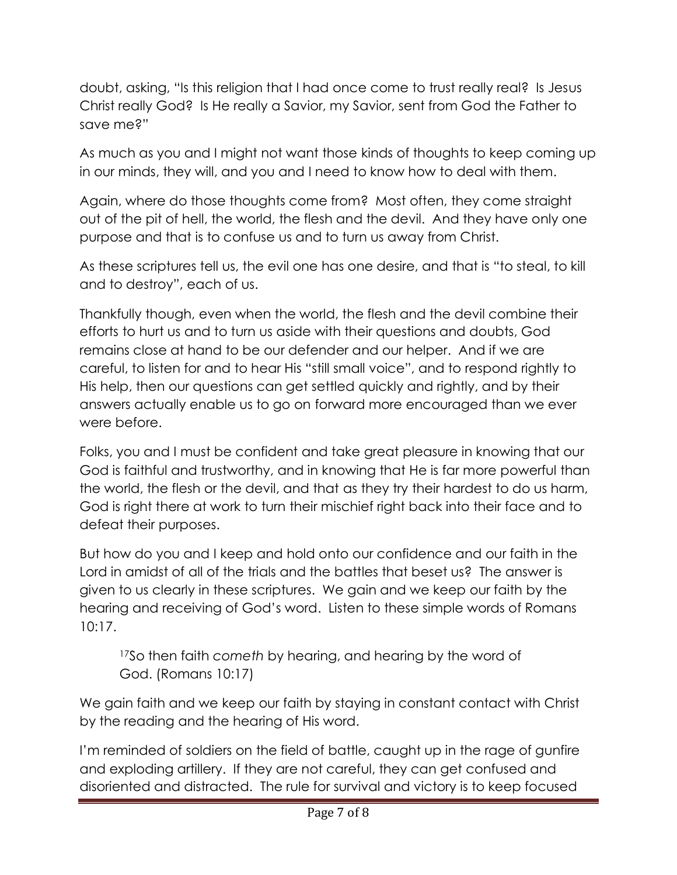doubt, asking, "Is this religion that I had once come to trust really real? Is Jesus Christ really God? Is He really a Savior, my Savior, sent from God the Father to save me?"

As much as you and I might not want those kinds of thoughts to keep coming up in our minds, they will, and you and I need to know how to deal with them.

Again, where do those thoughts come from? Most often, they come straight out of the pit of hell, the world, the flesh and the devil. And they have only one purpose and that is to confuse us and to turn us away from Christ.

As these scriptures tell us, the evil one has one desire, and that is "to steal, to kill and to destroy", each of us.

Thankfully though, even when the world, the flesh and the devil combine their efforts to hurt us and to turn us aside with their questions and doubts, God remains close at hand to be our defender and our helper. And if we are careful, to listen for and to hear His "still small voice", and to respond rightly to His help, then our questions can get settled quickly and rightly, and by their answers actually enable us to go on forward more encouraged than we ever were before.

Folks, you and I must be confident and take great pleasure in knowing that our God is faithful and trustworthy, and in knowing that He is far more powerful than the world, the flesh or the devil, and that as they try their hardest to do us harm, God is right there at work to turn their mischief right back into their face and to defeat their purposes.

But how do you and I keep and hold onto our confidence and our faith in the Lord in amidst of all of the trials and the battles that beset us? The answer is given to us clearly in these scriptures. We gain and we keep our faith by the hearing and receiving of God's word. Listen to these simple words of Romans 10:17.

<sup>17</sup>So then faith *cometh* by hearing, and hearing by the word of God. (Romans 10:17)

We gain faith and we keep our faith by staying in constant contact with Christ by the reading and the hearing of His word.

I'm reminded of soldiers on the field of battle, caught up in the rage of gunfire and exploding artillery. If they are not careful, they can get confused and disoriented and distracted. The rule for survival and victory is to keep focused